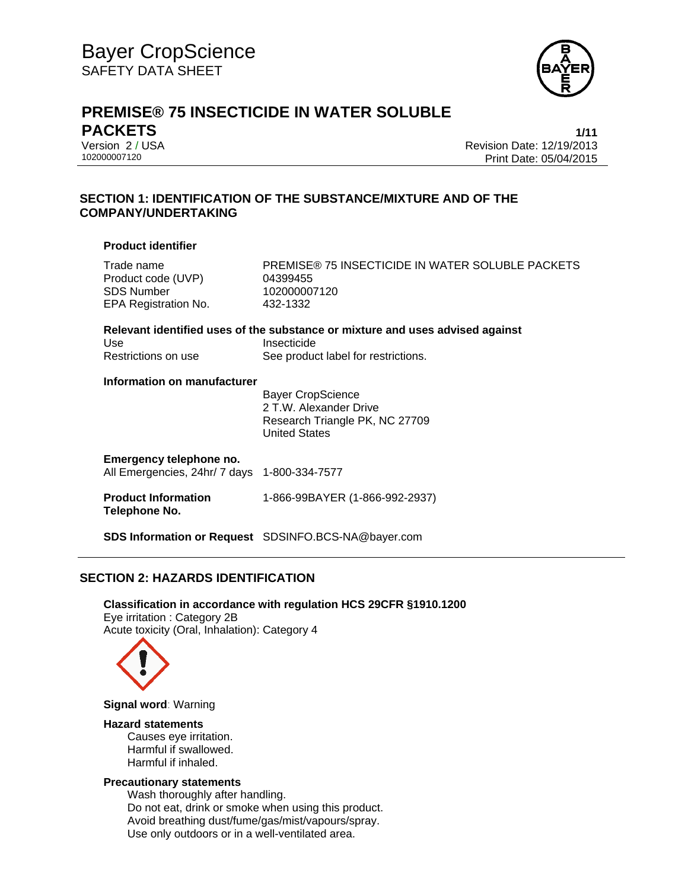

# **PREMISE® 75 INSECTICIDE IN WATER SOLUBLE PACKETS 1/11**

Version 2 / USA Revision Date: 12/19/2013 Print Date: 05/04/2015

# **SECTION 1: IDENTIFICATION OF THE SUBSTANCE/MIXTURE AND OF THE COMPANY/UNDERTAKING**

### **Product identifier**

**Relevant identified uses of the substance or mixture and uses advised against**  Use Insecticide Restrictions on use See product label for restrictions.

### **Information on manufacturer**

 Bayer CropScience 2 T.W. Alexander Drive Research Triangle PK, NC 27709 United States

### **Emergency telephone no.**

All Emergencies, 24hr/ 7 days 1-800-334-7577

**Product Information Telephone No.**  1-866-99BAYER (1-866-992-2937)

**SDS Information or Request** SDSINFO.BCS-NA@bayer.com

# **SECTION 2: HAZARDS IDENTIFICATION**

**Classification in accordance with regulation HCS 29CFR §1910.1200**  Eye irritation : Category 2B Acute toxicity (Oral, Inhalation): Category 4



**Signal word**: Warning

#### **Hazard statements**

Causes eye irritation. Harmful if swallowed. Harmful if inhaled.

### **Precautionary statements**

Wash thoroughly after handling. Do not eat, drink or smoke when using this product. Avoid breathing dust/fume/gas/mist/vapours/spray. Use only outdoors or in a well-ventilated area.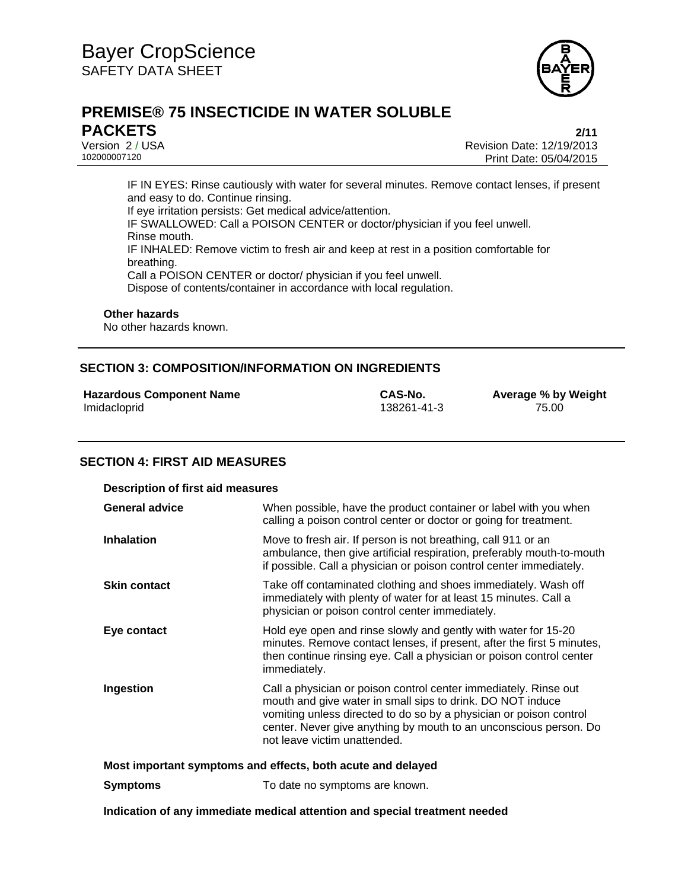

# **PREMISE® 75 INSECTICIDE IN WATER SOLUBLE PACKETS 2/11**

Version 2 / USA Revision Date: 12/19/2013 Print Date: 05/04/2015

IF IN EYES: Rinse cautiously with water for several minutes. Remove contact lenses, if present and easy to do. Continue rinsing. If eye irritation persists: Get medical advice/attention. IF SWALLOWED: Call a POISON CENTER or doctor/physician if you feel unwell. Rinse mouth. IF INHALED: Remove victim to fresh air and keep at rest in a position comfortable for breathing. Call a POISON CENTER or doctor/ physician if you feel unwell. Dispose of contents/container in accordance with local regulation.

#### **Other hazards**

No other hazards known.

## **SECTION 3: COMPOSITION/INFORMATION ON INGREDIENTS**

|              | <b>Hazardous Component Name</b> |  |
|--------------|---------------------------------|--|
| Imidacloprid |                                 |  |

138261-41-3

**Hazardous Component Name CAS-No. Average % by Weight**

### **SECTION 4: FIRST AID MEASURES**

| <b>Description of first aid measures</b>                    |                                                                                                                                                                                                                                                                                                           |  |
|-------------------------------------------------------------|-----------------------------------------------------------------------------------------------------------------------------------------------------------------------------------------------------------------------------------------------------------------------------------------------------------|--|
| <b>General advice</b>                                       | When possible, have the product container or label with you when<br>calling a poison control center or doctor or going for treatment.                                                                                                                                                                     |  |
| <b>Inhalation</b>                                           | Move to fresh air. If person is not breathing, call 911 or an<br>ambulance, then give artificial respiration, preferably mouth-to-mouth<br>if possible. Call a physician or poison control center immediately.                                                                                            |  |
| <b>Skin contact</b>                                         | Take off contaminated clothing and shoes immediately. Wash off<br>immediately with plenty of water for at least 15 minutes. Call a<br>physician or poison control center immediately.                                                                                                                     |  |
| Eye contact                                                 | Hold eye open and rinse slowly and gently with water for 15-20<br>minutes. Remove contact lenses, if present, after the first 5 minutes,<br>then continue rinsing eye. Call a physician or poison control center<br>immediately.                                                                          |  |
| Ingestion                                                   | Call a physician or poison control center immediately. Rinse out<br>mouth and give water in small sips to drink. DO NOT induce<br>vomiting unless directed to do so by a physician or poison control<br>center. Never give anything by mouth to an unconscious person. Do<br>not leave victim unattended. |  |
| Most important symptoms and effects, both acute and delayed |                                                                                                                                                                                                                                                                                                           |  |
| <b>Symptoms</b>                                             | To date no symptoms are known.                                                                                                                                                                                                                                                                            |  |

**Indication of any immediate medical attention and special treatment needed**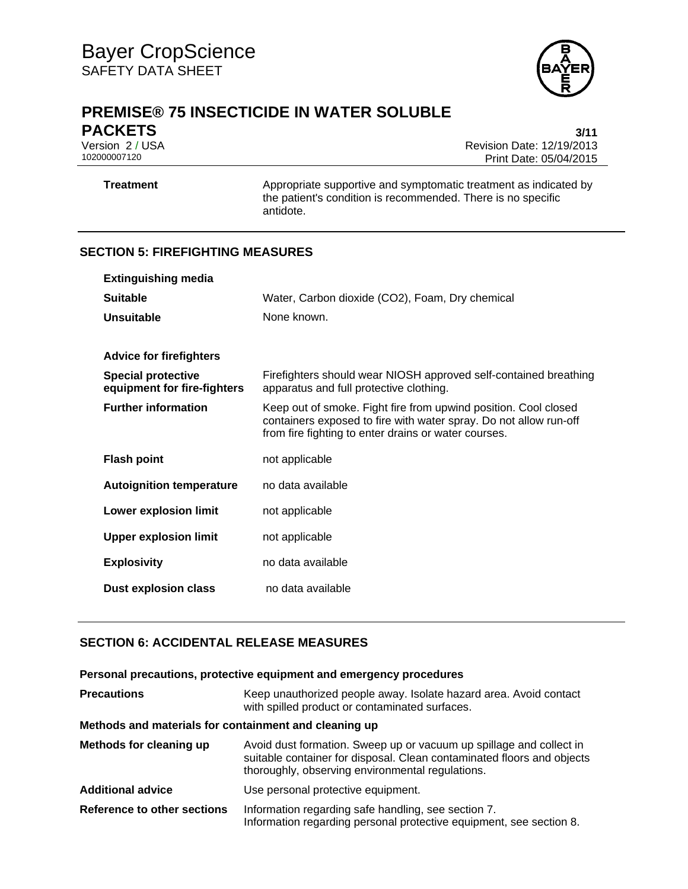

# **PREMISE® 75 INSECTICIDE IN WATER SOLUBLE**

**PACKETS** 3/11<br>Version 2 / USA 3/12 Version 2 / USA Revision Date: 12/19/2013 Print Date: 05/04/2015

**Treatment** Appropriate supportive and symptomatic treatment as indicated by the patient's condition is recommended. There is no specific antidote.

# **SECTION 5: FIREFIGHTING MEASURES**

| <b>Extinguishing media</b>                               |                                                                                                                                                                                              |
|----------------------------------------------------------|----------------------------------------------------------------------------------------------------------------------------------------------------------------------------------------------|
| <b>Suitable</b>                                          | Water, Carbon dioxide (CO2), Foam, Dry chemical                                                                                                                                              |
| <b>Unsuitable</b>                                        | None known.                                                                                                                                                                                  |
|                                                          |                                                                                                                                                                                              |
| <b>Advice for firefighters</b>                           |                                                                                                                                                                                              |
| <b>Special protective</b><br>equipment for fire-fighters | Firefighters should wear NIOSH approved self-contained breathing<br>apparatus and full protective clothing.                                                                                  |
| <b>Further information</b>                               | Keep out of smoke. Fight fire from upwind position. Cool closed<br>containers exposed to fire with water spray. Do not allow run-off<br>from fire fighting to enter drains or water courses. |
| <b>Flash point</b>                                       | not applicable                                                                                                                                                                               |
| <b>Autoignition temperature</b>                          | no data available                                                                                                                                                                            |
| <b>Lower explosion limit</b>                             | not applicable                                                                                                                                                                               |
| <b>Upper explosion limit</b>                             | not applicable                                                                                                                                                                               |
| <b>Explosivity</b>                                       | no data available                                                                                                                                                                            |
| <b>Dust explosion class</b>                              | no data available                                                                                                                                                                            |

# **SECTION 6: ACCIDENTAL RELEASE MEASURES**

### **Personal precautions, protective equipment and emergency procedures**

| <b>Precautions</b>                                    | Keep unauthorized people away. Isolate hazard area. Avoid contact<br>with spilled product or contaminated surfaces.                                                                               |
|-------------------------------------------------------|---------------------------------------------------------------------------------------------------------------------------------------------------------------------------------------------------|
| Methods and materials for containment and cleaning up |                                                                                                                                                                                                   |
| Methods for cleaning up                               | Avoid dust formation. Sweep up or vacuum up spillage and collect in<br>suitable container for disposal. Clean contaminated floors and objects<br>thoroughly, observing environmental regulations. |
| <b>Additional advice</b>                              | Use personal protective equipment.                                                                                                                                                                |
| <b>Reference to other sections</b>                    | Information regarding safe handling, see section 7.<br>Information regarding personal protective equipment, see section 8.                                                                        |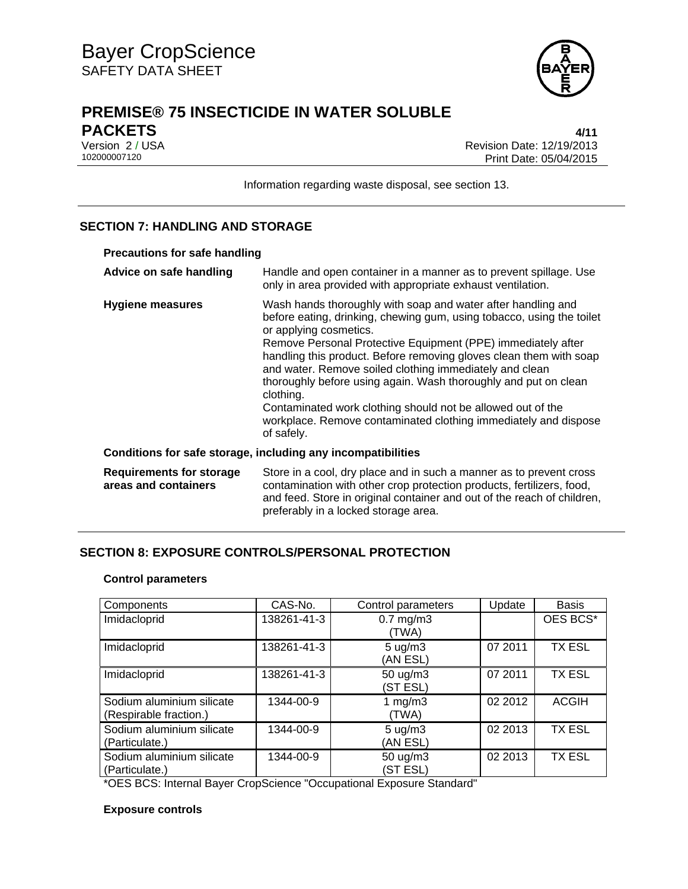

# **PREMISE® 75 INSECTICIDE IN WATER SOLUBLE PACKETS 4/11**

Version 2 / USA **Version 2 / USA Revision Date: 12/19/2013**<br>102000007120 **Print Date: 05/04/2015** Print Date: 05/04/2015

Information regarding waste disposal, see section 13.

# **SECTION 7: HANDLING AND STORAGE**

| <b>Precautions for safe handling</b>                         |                                                                                                                                                                                                                                                                                                                                                                                                                                                                                                                                                                                                  |  |
|--------------------------------------------------------------|--------------------------------------------------------------------------------------------------------------------------------------------------------------------------------------------------------------------------------------------------------------------------------------------------------------------------------------------------------------------------------------------------------------------------------------------------------------------------------------------------------------------------------------------------------------------------------------------------|--|
| Advice on safe handling                                      | Handle and open container in a manner as to prevent spillage. Use<br>only in area provided with appropriate exhaust ventilation.                                                                                                                                                                                                                                                                                                                                                                                                                                                                 |  |
| Hygiene measures                                             | Wash hands thoroughly with soap and water after handling and<br>before eating, drinking, chewing gum, using tobacco, using the toilet<br>or applying cosmetics.<br>Remove Personal Protective Equipment (PPE) immediately after<br>handling this product. Before removing gloves clean them with soap<br>and water. Remove soiled clothing immediately and clean<br>thoroughly before using again. Wash thoroughly and put on clean<br>clothing.<br>Contaminated work clothing should not be allowed out of the<br>workplace. Remove contaminated clothing immediately and dispose<br>of safely. |  |
| Conditions for safe storage, including any incompatibilities |                                                                                                                                                                                                                                                                                                                                                                                                                                                                                                                                                                                                  |  |
| <b>Requirements for storage</b><br>areas and containers      | Store in a cool, dry place and in such a manner as to prevent cross<br>contamination with other crop protection products, fertilizers, food,<br>and feed. Store in original container and out of the reach of children,<br>preferably in a locked storage area.                                                                                                                                                                                                                                                                                                                                  |  |

# **SECTION 8: EXPOSURE CONTROLS/PERSONAL PROTECTION**

### **Control parameters**

| Components                                          | CAS-No.     | Control parameters             | Update  | <b>Basis</b>  |
|-----------------------------------------------------|-------------|--------------------------------|---------|---------------|
| Imidacloprid                                        | 138261-41-3 | $0.7$ mg/m $3$<br>(TWA)        |         | OES BCS*      |
| Imidacloprid                                        | 138261-41-3 | $5 \text{ ug/m}$ 3<br>(AN ESL) | 07 2011 | <b>TX ESL</b> |
| Imidacloprid                                        | 138261-41-3 | 50 ug/m3<br>(ST ESL)           | 07 2011 | <b>TX ESL</b> |
| Sodium aluminium silicate<br>(Respirable fraction.) | 1344-00-9   | 1 $mg/m3$<br>(TWA)             | 02 2012 | <b>ACGIH</b>  |
| Sodium aluminium silicate<br>(Particulate.)         | 1344-00-9   | $5 \text{ ug/m}$ 3<br>(AN ESL) | 02 2013 | <b>TX ESL</b> |
| Sodium aluminium silicate<br>(Particulate.)         | 1344-00-9   | 50 ug/m3<br>(ST ESL)           | 02 2013 | <b>TX ESL</b> |

\*OES BCS: Internal Bayer CropScience "Occupational Exposure Standard"

### **Exposure controls**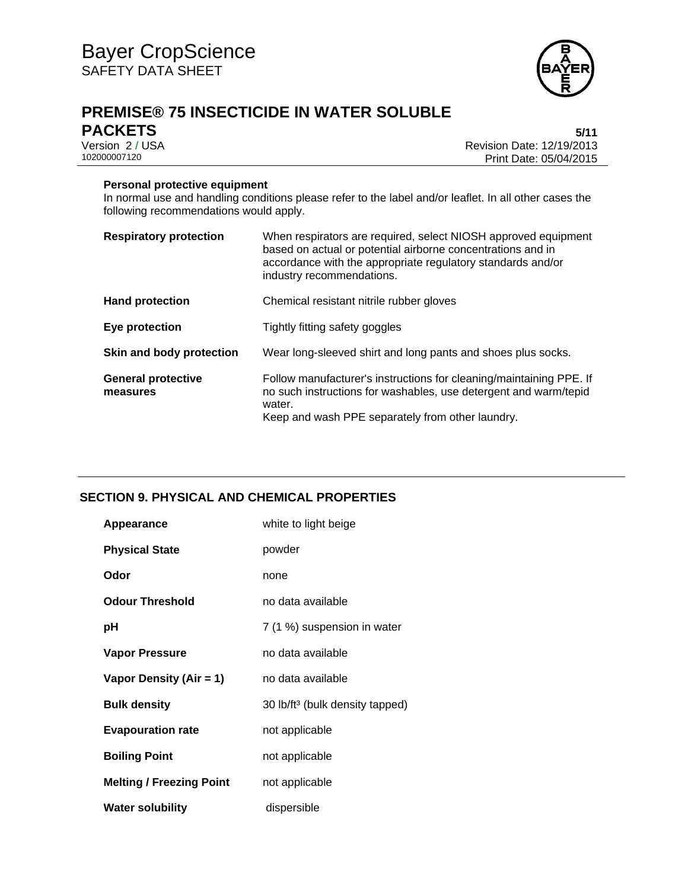

# **PREMISE® 75 INSECTICIDE IN WATER SOLUBLE PACKETS** 5/11<br>Version 2/USA 6-12/19/2013

Version 2 / USA **Version 2 / USA Revision Date: 12/19/2013**<br>102000007120 **Print Date: 05/04/2015** Print Date: 05/04/2015

### **Personal protective equipment**

In normal use and handling conditions please refer to the label and/or leaflet. In all other cases the following recommendations would apply.

| <b>Respiratory protection</b>         | When respirators are required, select NIOSH approved equipment<br>based on actual or potential airborne concentrations and in<br>accordance with the appropriate regulatory standards and/or<br>industry recommendations. |
|---------------------------------------|---------------------------------------------------------------------------------------------------------------------------------------------------------------------------------------------------------------------------|
| <b>Hand protection</b>                | Chemical resistant nitrile rubber gloves                                                                                                                                                                                  |
| Eye protection                        | Tightly fitting safety goggles                                                                                                                                                                                            |
| Skin and body protection              | Wear long-sleeved shirt and long pants and shoes plus socks.                                                                                                                                                              |
| <b>General protective</b><br>measures | Follow manufacturer's instructions for cleaning/maintaining PPE. If<br>no such instructions for washables, use detergent and warm/tepid<br>water.<br>Keep and wash PPE separately from other laundry.                     |

# **SECTION 9. PHYSICAL AND CHEMICAL PROPERTIES**

| Appearance                      | white to light beige                        |
|---------------------------------|---------------------------------------------|
| <b>Physical State</b>           | powder                                      |
| Odor                            | none                                        |
| <b>Odour Threshold</b>          | no data available                           |
| рH                              | 7 (1 %) suspension in water                 |
| <b>Vapor Pressure</b>           | no data available                           |
| Vapor Density (Air = 1)         | no data available                           |
| <b>Bulk density</b>             | 30 lb/ft <sup>3</sup> (bulk density tapped) |
| <b>Evapouration rate</b>        | not applicable                              |
| <b>Boiling Point</b>            | not applicable                              |
| <b>Melting / Freezing Point</b> | not applicable                              |
| <b>Water solubility</b>         | dispersible                                 |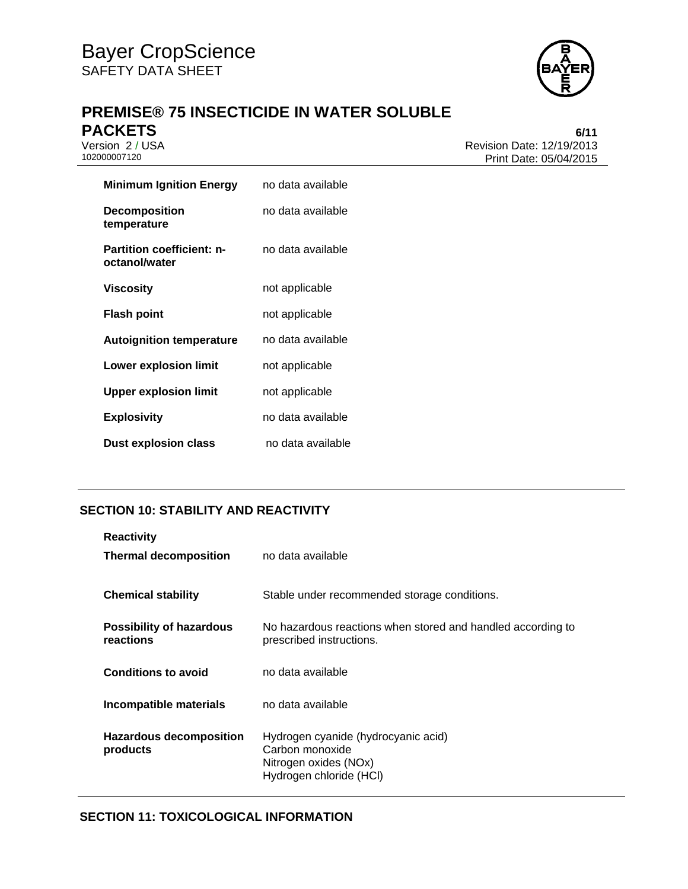

# **PREMISE® 75 INSECTICIDE IN WATER SOLUBLE PACKETS** 6/11<br>Version 2 / USA 6/11<br>Revision Date: 12/19/2013

Version 2 / USA **Version 2 / USA Revision Date: 12/19/2013**<br>102000007120 **Print Date: 05/04/2015** Print Date: 05/04/2015

| <b>Minimum Ignition Energy</b>                    | no data available |
|---------------------------------------------------|-------------------|
| <b>Decomposition</b><br>temperature               | no data available |
| <b>Partition coefficient: n-</b><br>octanol/water | no data available |
| Viscosity                                         | not applicable    |
| Flash point                                       | not applicable    |
| <b>Autoignition temperature</b>                   | no data available |
| Lower explosion limit                             | not applicable    |
| <b>Upper explosion limit</b>                      | not applicable    |
| <b>Explosivity</b>                                | no data available |
| <b>Dust explosion class</b>                       | no data available |

# **SECTION 10: STABILITY AND REACTIVITY**

| <b>Reactivity</b><br><b>Thermal decomposition</b> | no data available                                                                                          |
|---------------------------------------------------|------------------------------------------------------------------------------------------------------------|
| <b>Chemical stability</b>                         | Stable under recommended storage conditions.                                                               |
| <b>Possibility of hazardous</b><br>reactions      | No hazardous reactions when stored and handled according to<br>prescribed instructions.                    |
| <b>Conditions to avoid</b>                        | no data available                                                                                          |
| Incompatible materials                            | no data available                                                                                          |
| <b>Hazardous decomposition</b><br>products        | Hydrogen cyanide (hydrocyanic acid)<br>Carbon monoxide<br>Nitrogen oxides (NOx)<br>Hydrogen chloride (HCl) |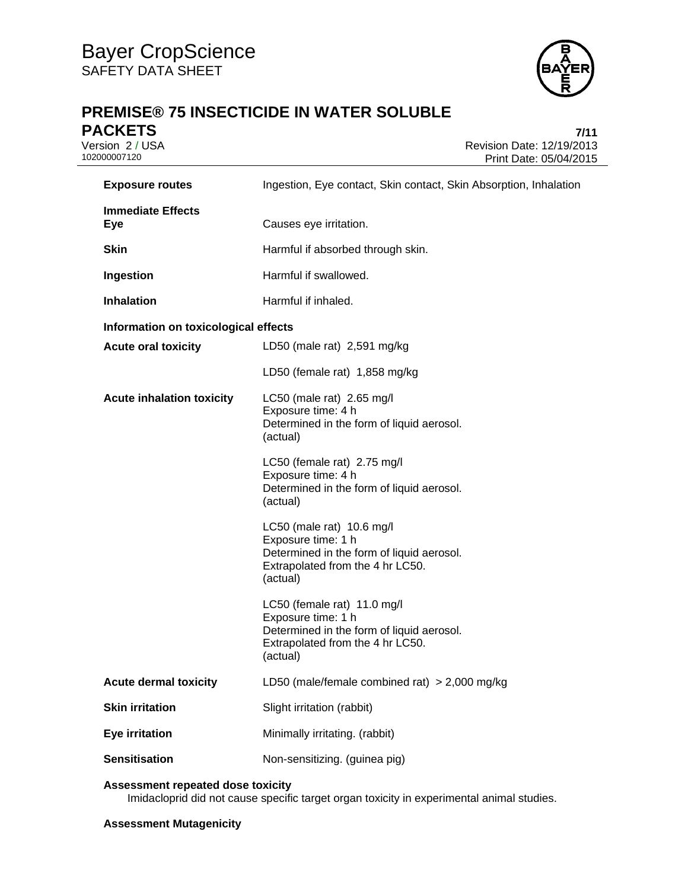

# **PREMISE® 75 INSECTICIDE IN WATER SOLUBLE PACKETS** 7/11<br>Version 2 / USA 7/15

Version 2 / USA <br>102000007120<br>Print Date: 05/04/2015 Print Date: 05/04/2015

| <b>Exposure routes</b>                 | Ingestion, Eye contact, Skin contact, Skin Absorption, Inhalation                                                                              |
|----------------------------------------|------------------------------------------------------------------------------------------------------------------------------------------------|
| <b>Immediate Effects</b><br><b>Eye</b> | Causes eye irritation.                                                                                                                         |
| <b>Skin</b>                            | Harmful if absorbed through skin.                                                                                                              |
| Ingestion                              | Harmful if swallowed.                                                                                                                          |
| <b>Inhalation</b>                      | Harmful if inhaled.                                                                                                                            |
| Information on toxicological effects   |                                                                                                                                                |
| <b>Acute oral toxicity</b>             | LD50 (male rat) 2,591 mg/kg                                                                                                                    |
|                                        | LD50 (female rat) 1,858 mg/kg                                                                                                                  |
| <b>Acute inhalation toxicity</b>       | LC50 (male rat) $2.65$ mg/l<br>Exposure time: 4 h<br>Determined in the form of liquid aerosol.<br>(actual)                                     |
|                                        | LC50 (female rat) 2.75 mg/l<br>Exposure time: 4 h<br>Determined in the form of liquid aerosol.<br>(actual)                                     |
|                                        | LC50 (male rat) 10.6 mg/l<br>Exposure time: 1 h<br>Determined in the form of liquid aerosol.<br>Extrapolated from the 4 hr LC50.<br>(actual)   |
|                                        | LC50 (female rat) 11.0 mg/l<br>Exposure time: 1 h<br>Determined in the form of liquid aerosol.<br>Extrapolated from the 4 hr LC50.<br>(actual) |
| <b>Acute dermal toxicity</b>           | LD50 (male/female combined rat) $>$ 2,000 mg/kg                                                                                                |
| <b>Skin irritation</b>                 | Slight irritation (rabbit)                                                                                                                     |
| <b>Eye irritation</b>                  | Minimally irritating. (rabbit)                                                                                                                 |
| <b>Sensitisation</b>                   | Non-sensitizing. (guinea pig)                                                                                                                  |

## **Assessment repeated dose toxicity**

Imidacloprid did not cause specific target organ toxicity in experimental animal studies.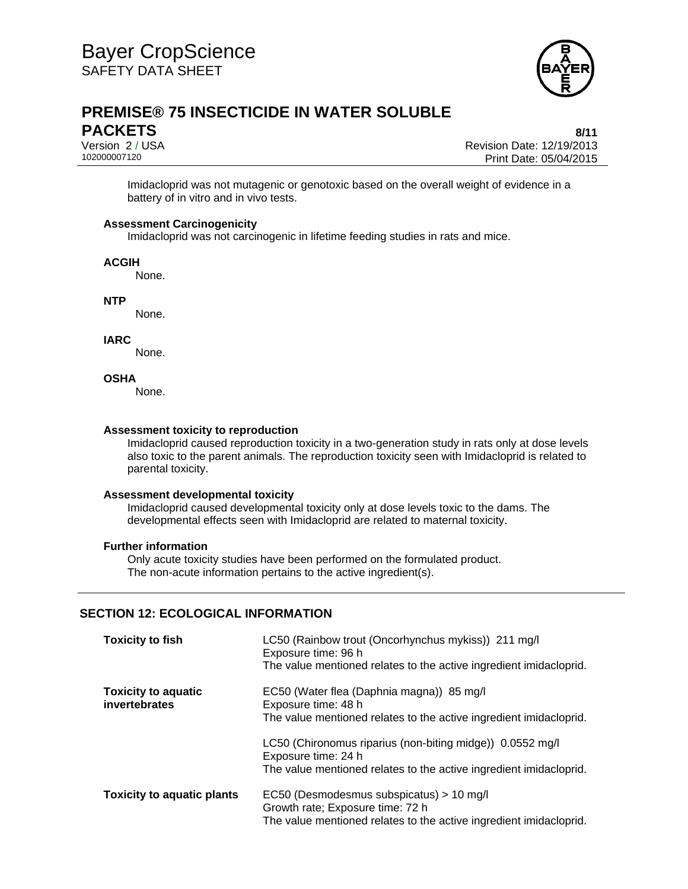

# **PREMISE® 75 INSECTICIDE IN WATER SOLUBLE PACKETS** 8/11

Version 2 / USA Revision Date: 12/19/2013 Print Date: 05/04/2015

Imidacloprid was not mutagenic or genotoxic based on the overall weight of evidence in a battery of in vitro and in vivo tests.

### **Assessment Carcinogenicity**

Imidacloprid was not carcinogenic in lifetime feeding studies in rats and mice.

#### **ACGIH**

None.

**NTP** 

None.

**IARC** 

None.

### **OSHA**

None.

#### **Assessment toxicity to reproduction**

Imidacloprid caused reproduction toxicity in a two-generation study in rats only at dose levels also toxic to the parent animals. The reproduction toxicity seen with Imidacloprid is related to parental toxicity.

### **Assessment developmental toxicity**

Imidacloprid caused developmental toxicity only at dose levels toxic to the dams. The developmental effects seen with Imidacloprid are related to maternal toxicity.

### **Further information**

Only acute toxicity studies have been performed on the formulated product. The non-acute information pertains to the active ingredient(s).

### **SECTION 12: ECOLOGICAL INFORMATION**

| <b>Toxicity to fish</b>                     | LC50 (Rainbow trout (Oncorhynchus mykiss)) 211 mg/l<br>Exposure time: 96 h<br>The value mentioned relates to the active ingredient imidacloprid.       |
|---------------------------------------------|--------------------------------------------------------------------------------------------------------------------------------------------------------|
| <b>Toxicity to aquatic</b><br>invertebrates | EC50 (Water flea (Daphnia magna)) 85 mg/l<br>Exposure time: 48 h<br>The value mentioned relates to the active ingredient imidacloprid.                 |
|                                             | LC50 (Chironomus riparius (non-biting midge)) 0.0552 mg/l<br>Exposure time: 24 h<br>The value mentioned relates to the active ingredient imidacloprid. |
| <b>Toxicity to aquatic plants</b>           | EC50 (Desmodesmus subspicatus) > 10 mg/l<br>Growth rate; Exposure time: 72 h<br>The value mentioned relates to the active ingredient imidacloprid.     |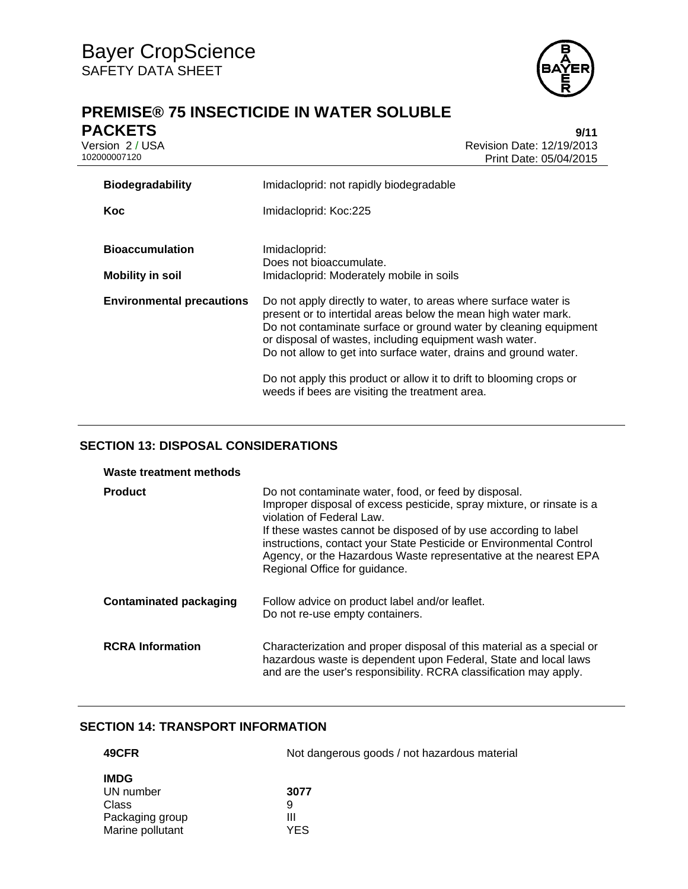

# **PREMISE® 75 INSECTICIDE IN WATER SOLUBLE PACKETS** 9/11<br>Version 2 / USA 9/15

Version 2 / USA <br>10200007120<br>Print Date: 05/04/2015 Print Date: 05/04/2015

| <b>Biodegradability</b>                           | Imidacloprid: not rapidly biodegradable                                                                                                                                                                                                                                                                                                                                                                                                                      |  |  |
|---------------------------------------------------|--------------------------------------------------------------------------------------------------------------------------------------------------------------------------------------------------------------------------------------------------------------------------------------------------------------------------------------------------------------------------------------------------------------------------------------------------------------|--|--|
| Koc                                               | Imidacloprid: Koc:225                                                                                                                                                                                                                                                                                                                                                                                                                                        |  |  |
| <b>Bioaccumulation</b><br><b>Mobility in soil</b> | Imidacloprid:<br>Does not bioaccumulate.<br>Imidacloprid: Moderately mobile in soils                                                                                                                                                                                                                                                                                                                                                                         |  |  |
| <b>Environmental precautions</b>                  | Do not apply directly to water, to areas where surface water is<br>present or to intertidal areas below the mean high water mark.<br>Do not contaminate surface or ground water by cleaning equipment<br>or disposal of wastes, including equipment wash water.<br>Do not allow to get into surface water, drains and ground water.<br>Do not apply this product or allow it to drift to blooming crops or<br>weeds if bees are visiting the treatment area. |  |  |

# **SECTION 13: DISPOSAL CONSIDERATIONS**

| Waste treatment methods       |                                                                                                                                                                                                                                                                                                                                                                                                           |
|-------------------------------|-----------------------------------------------------------------------------------------------------------------------------------------------------------------------------------------------------------------------------------------------------------------------------------------------------------------------------------------------------------------------------------------------------------|
| <b>Product</b>                | Do not contaminate water, food, or feed by disposal.<br>Improper disposal of excess pesticide, spray mixture, or rinsate is a<br>violation of Federal Law.<br>If these wastes cannot be disposed of by use according to label<br>instructions, contact your State Pesticide or Environmental Control<br>Agency, or the Hazardous Waste representative at the nearest EPA<br>Regional Office for guidance. |
| <b>Contaminated packaging</b> | Follow advice on product label and/or leaflet.<br>Do not re-use empty containers.                                                                                                                                                                                                                                                                                                                         |
| <b>RCRA</b> Information       | Characterization and proper disposal of this material as a special or<br>hazardous waste is dependent upon Federal, State and local laws<br>and are the user's responsibility. RCRA classification may apply.                                                                                                                                                                                             |

# **SECTION 14: TRANSPORT INFORMATION**

| 49CFR            | Not dangerous goods / not hazardous material |  |  |
|------------------|----------------------------------------------|--|--|
| <b>IMDG</b>      |                                              |  |  |
| UN number        | 3077                                         |  |  |
| Class            | 9                                            |  |  |
| Packaging group  | Ш                                            |  |  |
| Marine pollutant | YES                                          |  |  |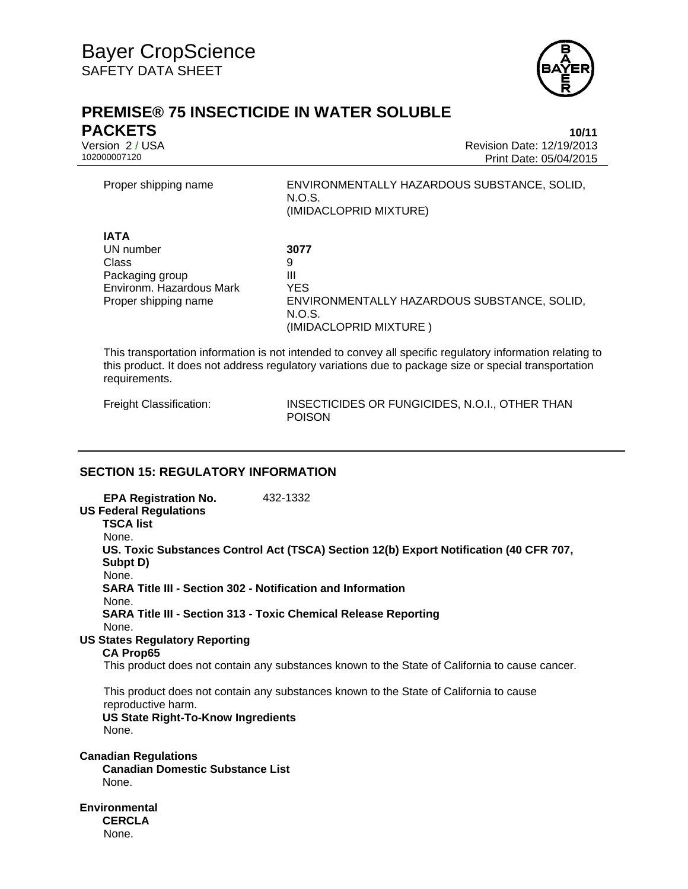

# **PREMISE® 75 INSECTICIDE IN WATER SOLUBLE PACKETS 10/11**

Version 2 / USA Revision Date: 12/19/2013 Print Date: 05/04/2015

| Proper shipping name                                                                                     | ENVIRONMENTALLY HAZARDOUS SUBSTANCE, SOLID,<br>N.O.S.<br>(IMIDACLOPRID MIXTURE)                                 |
|----------------------------------------------------------------------------------------------------------|-----------------------------------------------------------------------------------------------------------------|
| <b>IATA</b><br>UN number<br>Class<br>Packaging group<br>Environm. Hazardous Mark<br>Proper shipping name | 3077<br>9<br>Ш<br><b>YES</b><br>ENVIRONMENTALLY HAZARDOUS SUBSTANCE, SOLID,<br>N.O.S.<br>(IMIDACLOPRID MIXTURE) |

This transportation information is not intended to convey all specific regulatory information relating to this product. It does not address regulatory variations due to package size or special transportation requirements.

Freight Classification: INSECTICIDES OR FUNGICIDES, N.O.I., OTHER THAN POISON

# **SECTION 15: REGULATORY INFORMATION**

**EPA Registration No.** 432-1332 **US Federal Regulations TSCA list** None. **US. Toxic Substances Control Act (TSCA) Section 12(b) Export Notification (40 CFR 707, Subpt D)** None. **SARA Title III - Section 302 - Notification and Information** None. **SARA Title III - Section 313 - Toxic Chemical Release Reporting** None. **US States Regulatory Reporting CA Prop65** This product does not contain any substances known to the State of California to cause cancer. This product does not contain any substances known to the State of California to cause reproductive harm. **US State Right-To-Know Ingredients** None. **Canadian Regulations Canadian Domestic Substance List**  None. **Environmental CERCLA**  None.